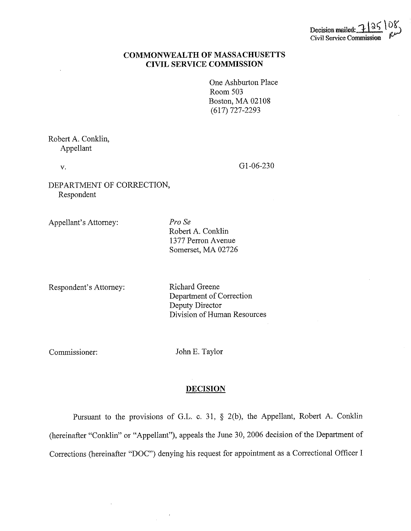

## **COMMONWEALTH OF MASSACHUSETTS CIVIL SERVICE COMMISSION**

One Ashburton Place Room 503 Boston, MA 02108 (617) 727-2293

Robert A. Conklin, Appellant

V.

Gl-06-230

DEPARTMENT OF CORRECTION, Respondent

Appellant's Attorney:

*Pro Se*  Robert A. Conklin 1377 Perron Avenue Somerset, MA 02726

Respondent's Attorney:

Richard Greene Department of Correction Deputy Director Division of Human Resources

Commissioner:

John E. Taylor

## **DECISION**

Pursuant to the provisions of G.L. c. 31,  $\S$  2(b), the Appellant, Robert A. Conklin (hereinafter "Conklin" or "Appellant"), appeals the June 30, 2006 decision of the Department of Corrections (hereinafter "DOC") denying his request for appointment as a Correctional Officer I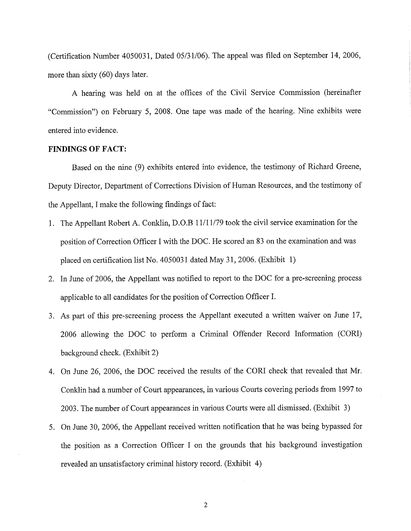(Certification Number 4050031, Dated 05/31/06). The appeal was filed on September 14, 2006, more than sixty (60) days later.

A hearing was held on at the offices of the Civil Service Commission (hereinafter "Commission") on February 5, 2008. One tape was made of the hearing. Nine exhibits were entered into evidence.

## **FINDINGS OF FACT:**

Based on the nine (9) exhibits entered into evidence, the testimony of Richard Greene, Deputy Director, Department of Corrections Division of Human Resources, and the testimony of the Appellant, I make the following findings of fact:

- 1. The Appellant Robert A. Conklin, D.O.B 11/11/79 took the civil service examination for the position of Correction Officer I with the DOC. He scored an 83 on the examination and was placed on certification list No. 4050031 dated May 31, 2006. (Exhibit 1)
- 2. In June of 2006, the Appellant was notified to report to the DOC for a pre-screening process applicable to all candidates for the position of Correction Officer I.
- 3. As part of this pre-screening process the Appellant executed a written waiver on June 17, 2006 allowing the DOC to perform a Criminal Offender Record Information (CORI) background check. (Exhibit 2)
- 4. On June 26, 2006, the DOC received the results of the CORI check that revealed that Mr. Conklin had a number of Court appearances, in various Courts covering periods from 1997 to 2003. The number of Court appearances in various Courts were all dismissed. (Exhibit 3)
- 5. On June 30, 2006, the Appellant received written notification that he was being bypassed for the position as a Correction Officer I on the grounds that his background investigation revealed an unsatisfactory criminal history record. (Exhibit 4)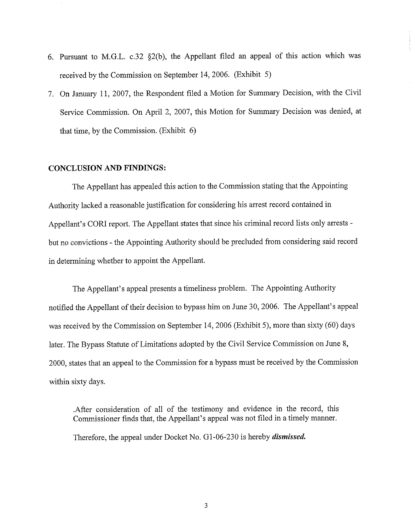- 6. Pursuant to M.G.L. c.32 §2(b), the Appellant filed an appeal of this action which was received by the Commission on September 14, 2006. (Exhibit 5)
- 7. On January 11, 2007, the Respondent filed a Motion for Summary Decision, with the Civil Service Commission. On April 2, 2007, this Motion for Summary Decision was denied, at that time, by the Commission. (Exhibit 6)

## **CONCLUSION AND FINDINGS:**

The Appellant has appealed this action to the Commission stating that the Appointing Authority Jacked a reasonable justification for considering his arrest record contained in Appellant's CORI report. The Appellant states that since his criminal record lists only arrests but no convictions - the Appointing Authority should be precluded from considering said record in determining whether to appoint the Appellant.

The Appellant's appeal presents a timeliness problem. The Appointing Authority notified the Appellant of their decision to bypass him on June 30, 2006. The Appellant's appeal was received by the Commission on September 14, 2006 (Exhibit 5), more than sixty (60) days later. The Bypass Statute of Limitations adopted by the Civil Service Commission on June 8, 2000, states that an appeal to the Commission for a bypass must be received by the Commission within sixty days.

. After consideration of all of the testimony and evidence in the record, this Commissioner finds that, the Appellant's appeal was not filed in a timely manner. Therefore, the appeal under Docket No. G 1-06-230 is hereby *dismissed.*